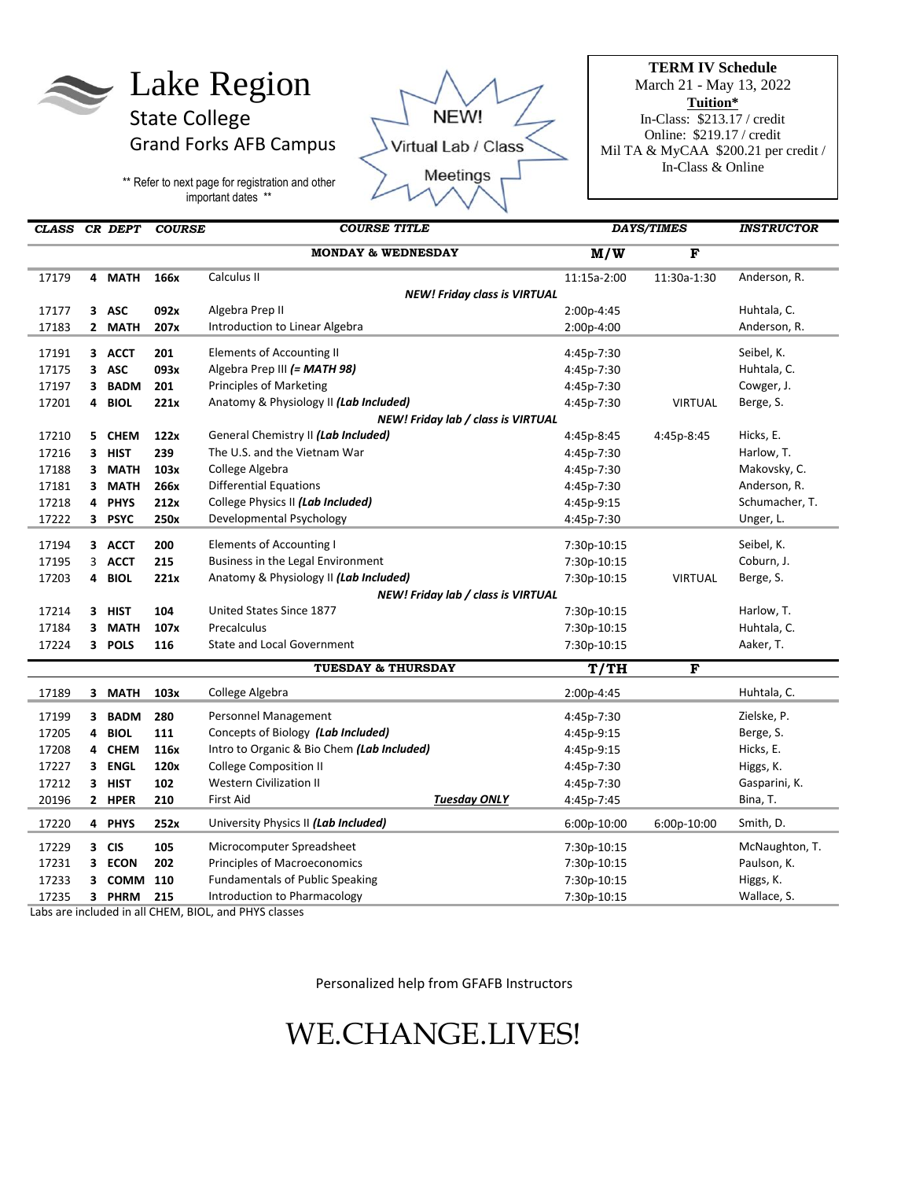# Lake Region

State College Grand Forks AFB Campus

\*\* Refer to next page for registration and other important dates \*\*



**TERM IV Schedule**  March 21 - May 13, 2022 **Tuition\*** In-Class: \$213.17 / credit Online: \$219.17 / credit Mil TA & MyCAA \$200.21 per credit / In-Class & Online

| CLASS CR DEPT                      |                                     |                                    | <b>COURSE</b> | <b>COURSE TITLE</b>                        |                     | <b>DAYS/TIMES</b> |                | <b>INSTRUCTOR</b> |
|------------------------------------|-------------------------------------|------------------------------------|---------------|--------------------------------------------|---------------------|-------------------|----------------|-------------------|
|                                    |                                     |                                    |               | <b>MONDAY &amp; WEDNESDAY</b>              |                     | M/W               | F              |                   |
| 17179                              |                                     | 4 MATH                             | 166x          | Calculus II                                |                     | 11:15a-2:00       | 11:30a-1:30    | Anderson, R.      |
|                                    | <b>NEW! Friday class is VIRTUAL</b> |                                    |               |                                            |                     |                   |                |                   |
| 17177                              |                                     | 3 ASC                              | 092x          | Algebra Prep II                            |                     | 2:00p-4:45        |                | Huhtala, C.       |
| 17183                              |                                     | 2 MATH                             | 207x          | Introduction to Linear Algebra             |                     | 2:00p-4:00        |                | Anderson, R.      |
| 17191                              |                                     | 3 ACCT                             | 201           | Elements of Accounting II                  |                     | 4:45p-7:30        |                | Seibel, K.        |
| 17175                              |                                     | 3 ASC                              | 093x          | Algebra Prep III (= MATH 98)               |                     | 4:45p-7:30        |                | Huhtala, C.       |
| 17197                              | 3                                   | <b>BADM</b>                        | 201           | <b>Principles of Marketing</b>             |                     | 4:45p-7:30        |                | Cowger, J.        |
| 17201                              | 4                                   | <b>BIOL</b>                        | 221x          | Anatomy & Physiology II (Lab Included)     |                     | 4:45p-7:30        | <b>VIRTUAL</b> | Berge, S.         |
|                                    |                                     | NEW! Friday lab / class is VIRTUAL |               |                                            |                     |                   |                |                   |
| 17210                              |                                     | 5 CHEM                             | 122x          | General Chemistry II (Lab Included)        |                     | 4:45p-8:45        | 4:45p-8:45     | Hicks, E.         |
| 17216                              |                                     | 3 HIST                             | 239           | The U.S. and the Vietnam War               |                     | 4:45p-7:30        |                | Harlow, T.        |
| 17188                              |                                     | 3 MATH                             | 103x          | College Algebra                            |                     | 4:45p-7:30        |                | Makovsky, C.      |
| 17181                              | 3                                   | <b>MATH</b>                        | 266x          | <b>Differential Equations</b>              |                     | 4:45p-7:30        |                | Anderson, R.      |
| 17218                              |                                     | 4 PHYS                             | 212x          | College Physics II (Lab Included)          |                     | 4:45p-9:15        |                | Schumacher, T.    |
| 17222                              |                                     | 3 PSYC                             | 250x          | Developmental Psychology                   |                     | 4:45p-7:30        |                | Unger, L.         |
| 17194                              |                                     | 3 ACCT                             | 200           | <b>Elements of Accounting I</b>            |                     | 7:30p-10:15       |                | Seibel, K.        |
| 17195                              |                                     | 3 ACCT                             | 215           | Business in the Legal Environment          |                     | 7:30p-10:15       |                | Coburn, J.        |
| 17203                              | 4                                   | <b>BIOL</b>                        | 221x          | Anatomy & Physiology II (Lab Included)     |                     | 7:30p-10:15       | <b>VIRTUAL</b> | Berge, S.         |
| NEW! Friday lab / class is VIRTUAL |                                     |                                    |               |                                            |                     |                   |                |                   |
| 17214                              |                                     | 3 HIST                             | 104           | United States Since 1877                   |                     | 7:30p-10:15       |                | Harlow, T.        |
| 17184                              |                                     | 3 MATH                             | 107x          | Precalculus                                |                     | 7:30p-10:15       |                | Huhtala, C.       |
| 17224                              |                                     | 3 POLS                             | 116           | <b>State and Local Government</b>          |                     | 7:30p-10:15       |                | Aaker, T.         |
|                                    |                                     |                                    |               | <b>TUESDAY &amp; THURSDAY</b>              |                     | T/TH              | F              |                   |
| 17189                              |                                     | 3 MATH                             | 103x          | College Algebra                            |                     | 2:00p-4:45        |                | Huhtala, C.       |
| 17199                              |                                     | 3 BADM                             | 280           | Personnel Management                       |                     | 4:45p-7:30        |                | Zielske, P.       |
| 17205                              | 4                                   | <b>BIOL</b>                        | 111           | Concepts of Biology (Lab Included)         |                     | 4:45p-9:15        |                | Berge, S.         |
| 17208                              | 4                                   | <b>CHEM</b>                        | 116x          | Intro to Organic & Bio Chem (Lab Included) |                     | 4:45p-9:15        |                | Hicks, E.         |
| 17227                              | 3                                   | <b>ENGL</b>                        | 120x          | <b>College Composition II</b>              |                     | 4:45p-7:30        |                | Higgs, K.         |
| 17212                              | 3 <sup>1</sup>                      | <b>HIST</b>                        | 102           | <b>Western Civilization II</b>             |                     | 4:45p-7:30        |                | Gasparini, K.     |
| 20196                              |                                     | 2 HPER                             | 210           | <b>First Aid</b>                           | <b>Tuesday ONLY</b> | 4:45p-7:45        |                | Bina, T.          |
| 17220                              |                                     | 4 PHYS                             | 252x          | University Physics II (Lab Included)       |                     | 6:00p-10:00       | 6:00p-10:00    | Smith, D.         |
| 17229                              |                                     | 3 CIS                              | 105           | Microcomputer Spreadsheet                  |                     | 7:30p-10:15       |                | McNaughton, T.    |
| 17231                              |                                     | 3 ECON                             | 202           | Principles of Macroeconomics               |                     | 7:30p-10:15       |                | Paulson, K.       |
| 17233                              | 3                                   | <b>COMM</b>                        | 110           | <b>Fundamentals of Public Speaking</b>     |                     | 7:30p-10:15       |                | Higgs, K.         |
| 17235                              | 3                                   | <b>PHRM</b>                        | 215           | Introduction to Pharmacology               |                     | 7:30p-10:15       |                | Wallace, S.       |

Labs are included in all CHEM, BIOL, and PHYS classes

Personalized help from GFAFB Instructors

## WE.CHANGE.LIVES!